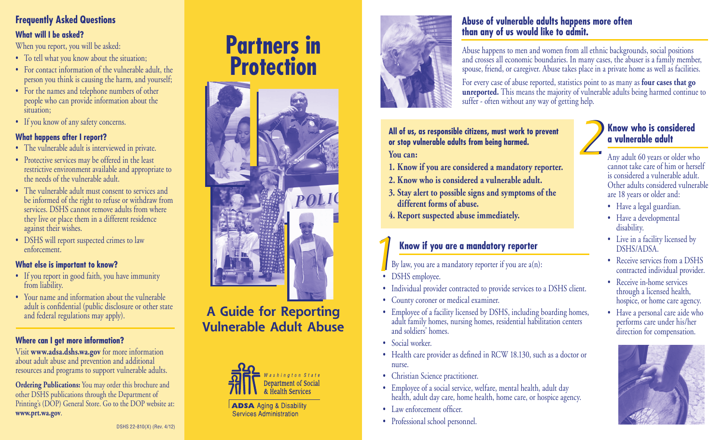# **Frequently Asked Questions**

### **What will I be asked?**

When you report, you will be asked:

- To tell what you know about the situation;
- For contact information of the vulnerable adult, the person you think is causing the harm, and yourself;
- For the names and telephone numbers of other people who can provide information about the situation;
- If you know of any safety concerns.

### **What happens after I report?**

- The vulnerable adult is interviewed in private.
- Protective services may be offered in the least restrictive environment available and appropriate to the needs of the vulnerable adult.
- The vulnerable adult must consent to services and be informed of the right to refuse or withdraw from services. DSHS cannot remove adults from where they live or place them in a different residence against their wishes.
- DSHS will report suspected crimes to law enforcement.

### **What else is important to know?**

- If you report in good faith, you have immunity from liability.
- Your name and information about the vulnerable adult is confidential (public disclosure or other state and federal regulations may apply).

### **Where can I get more information?**

Visit **www.adsa.dshs.wa.gov** for more information about adult abuse and prevention and additional resources and programs to support vulnerable adults.

**Ordering Publications:** You may order this brochure and other DSHS publications through the Department of Printing's (DOP) General Store. Go to the DOP website at: **www.prt.wa.gov**.

# **Partners in Protection**



# **A Guide for Reporting Vulnerable Adult Abuse**



**ADSA** Aging & Disability **Services Administration** 



### **Abuse of vulnerable adults happens more often than any of us would like to admit.**

Abuse happens to men and women from all ethnic backgrounds, social positions and crosses all economic boundaries. In many cases, the abuser is a family member, spouse, friend, or caregiver. Abuse takes place in a private home as well as facilities.

For every case of abuse reported, statistics point to as many as **four cases that go unreported.** This means the majority of vulnerable adults being harmed continue to suffer - often without any way of getting help.

#### **All of us, as responsible citizens, must work to prevent or stop vulnerable adults from being harmed. You can:**

- **1. Know if you are considered a mandatory reporter.**
- **2. Know who is considered a vulnerable adult.**
- **3. Stay alert to possible signs and symptoms of the different forms of abuse.**
- **4. Report suspected abuse immediately.**

# **Know if you are a mandatory reporter**

By law, you are a mandatory reporter if you are  $a(n)$ : *1*

- DSHS employee.
- Individual provider contracted to provide services to a DSHS client.
- County coroner or medical examiner.
- Employee of a facility licensed by DSHS, including boarding homes, adult family homes, nursing homes, residential habilitation centers and soldiers' homes.
- Social worker.
- Health care provider as defined in RCW 18.130, such as a doctor or nurse.
- Christian Science practitioner.
- Employee of a social service, welfare, mental health, adult day health, adult day care, home health, home care, or hospice agency.
- Law enforcement officer.
- Professional school personnel.

# **Know who is considered a vulnerable adult** *2*

Any adult 60 years or older who cannot take care of him or herself is considered a vulnerable adult. Other adults considered vulnerable are 18 years or older and:

- Have a legal guardian.
- Have a developmental disability.
- Live in a facility licensed by DSHS/ADSA.
- Receive services from a DSHS contracted individual provider.
- Receive in-home services through a licensed health, hospice, or home care agency.
- Have a personal care aide who performs care under his/her direction for compensation.